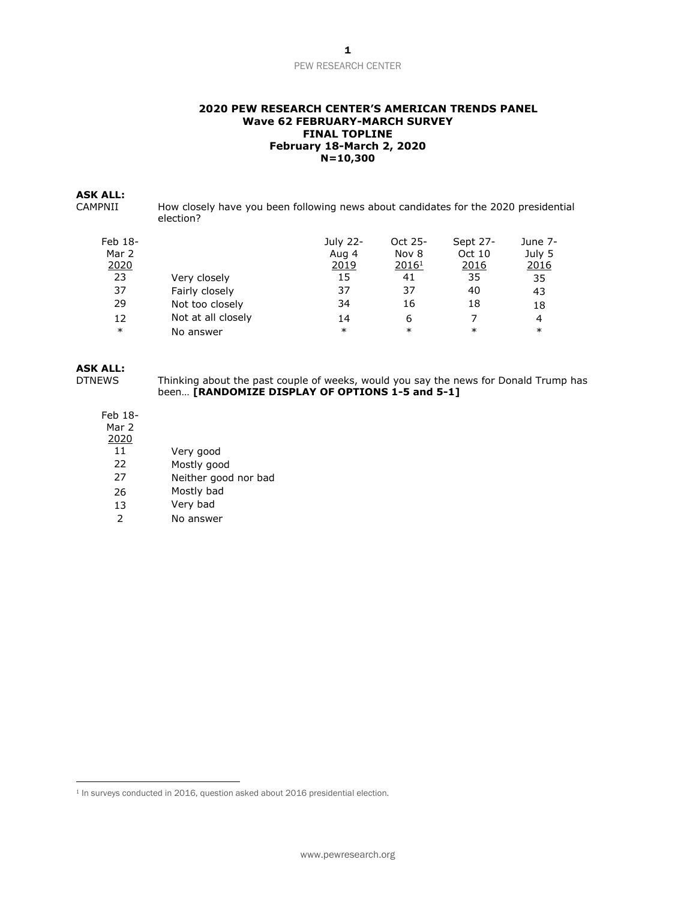### **2020 PEW RESEARCH CENTER'S AMERICAN TRENDS PANEL Wave 62 FEBRUARY-MARCH SURVEY FINAL TOPLINE February 18-March 2, 2020 N=10,300**

# **ASK ALL:**

How closely have you been following news about candidates for the 2020 presidential election?

| Feb 18- |                    | July 22- | Oct 25-           | Sept 27- | June 7- |
|---------|--------------------|----------|-------------------|----------|---------|
| Mar 2   |                    | Aug 4    | Nov 8             | Oct 10   | July 5  |
| 2020    |                    | 2019     | 2016 <sup>1</sup> | 2016     | 2016    |
| 23      | Very closely       | 15       | 41                | 35       | 35      |
| 37      | Fairly closely     | 37       | 37                | 40       | 43      |
| 29      | Not too closely    | 34       | 16                | 18       | 18      |
| 12      | Not at all closely | 14       | 6                 |          | 4       |
| $\ast$  | No answer          | $\ast$   | $\ast$            | $\ast$   | $\ast$  |

# **ASK ALL:**

DTNEWS Thinking about the past couple of weeks, would you say the news for Donald Trump has been… **[RANDOMIZE DISPLAY OF OPTIONS 1-5 and 5-1]**

# Feb 18-

Mar 2 2020

- 
- 11 Very good<br>22 Mostly goo Mostly good
- 27 Neither good nor bad
- 26 Mostly bad
- 13 Very bad
- 2 No answer

<sup>&</sup>lt;sup>1</sup> In surveys conducted in 2016, question asked about 2016 presidential election.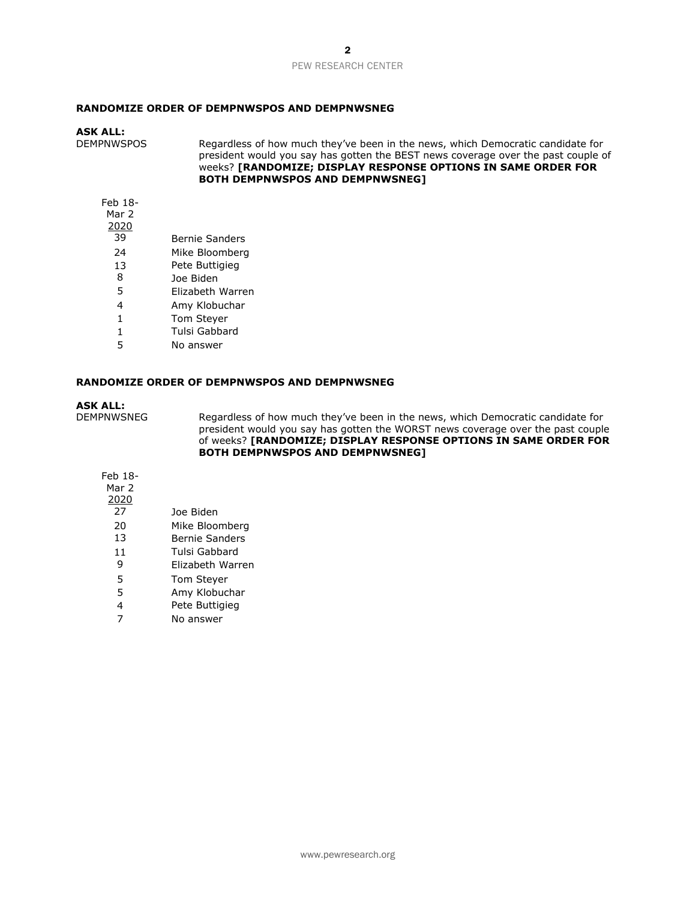### **RANDOMIZE ORDER OF DEMPNWSPOS AND DEMPNWSNEG**

#### **ASK ALL:**

DEMPNWSPOS Regardless of how much they've been in the news, which Democratic candidate for president would you say has gotten the BEST news coverage over the past couple of weeks? **[RANDOMIZE; DISPLAY RESPONSE OPTIONS IN SAME ORDER FOR BOTH DEMPNWSPOS AND DEMPNWSNEG]**

Feb 18-

- Mar 2
- $\frac{2020}{39}$ 
	- Bernie Sanders
- 24 Mike Bloomberg
- 13 Pete Buttigieg
- 8 Joe Biden<br>5 Flizabeth
- 5 Elizabeth Warren
- 4 Amy Klobuchar
- 1 Tom Steyer
- 1 Tulsi Gabbard
- 5 No answer

#### **RANDOMIZE ORDER OF DEMPNWSPOS AND DEMPNWSNEG**

## **ASK ALL:**

DEMPNWSNEG Regardless of how much they've been in the news, which Democratic candidate for president would you say has gotten the WORST news coverage over the past couple of weeks? **[RANDOMIZE; DISPLAY RESPONSE OPTIONS IN SAME ORDER FOR BOTH DEMPNWSPOS AND DEMPNWSNEG]**

## Feb 18- Mar 2 2020 27 Joe Biden 20 Mike Bloomberg 13 Bernie Sanders

- 
- 11 Tulsi Gabbard
- 9 Elizabeth Warren
- 5 Tom Steyer
- 5 Amy Klobuchar
- 4 Pete Buttigieg
- 7 No answer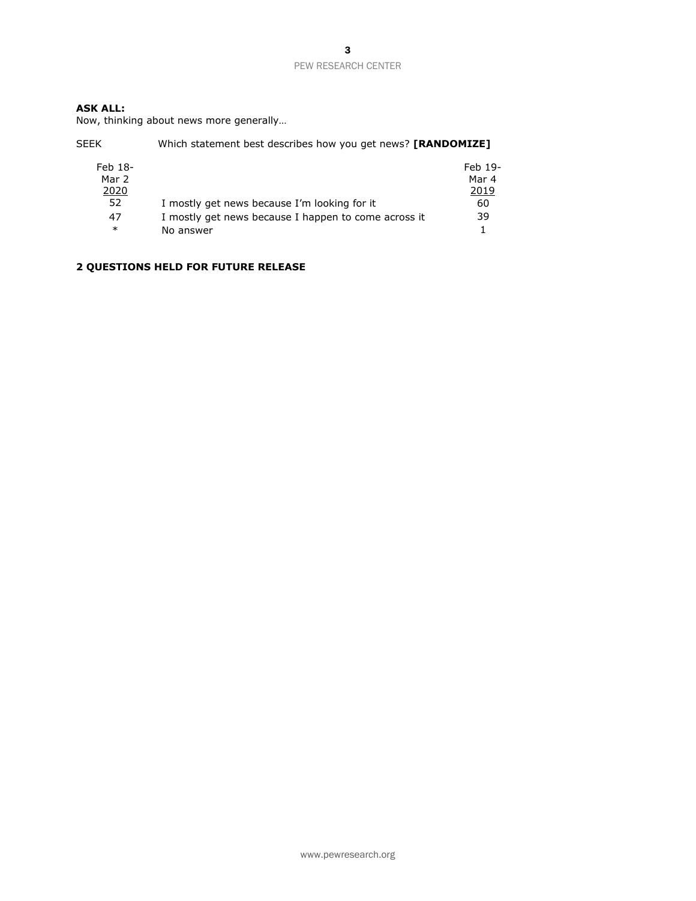# **ASK ALL:**

Now, thinking about news more generally…

| <b>SEEK</b>      | Which statement best describes how you get news? <b>[RANDOMIZE]</b> |                  |  |  |
|------------------|---------------------------------------------------------------------|------------------|--|--|
| Feb 18-<br>Mar 2 |                                                                     | Feb 19-<br>Mar 4 |  |  |
| 2020             |                                                                     | 2019             |  |  |
| 52               | I mostly get news because I'm looking for it                        | 60               |  |  |
| 47               | I mostly get news because I happen to come across it                | 39               |  |  |
| $\ast$           | No answer                                                           |                  |  |  |

# **2 QUESTIONS HELD FOR FUTURE RELEASE**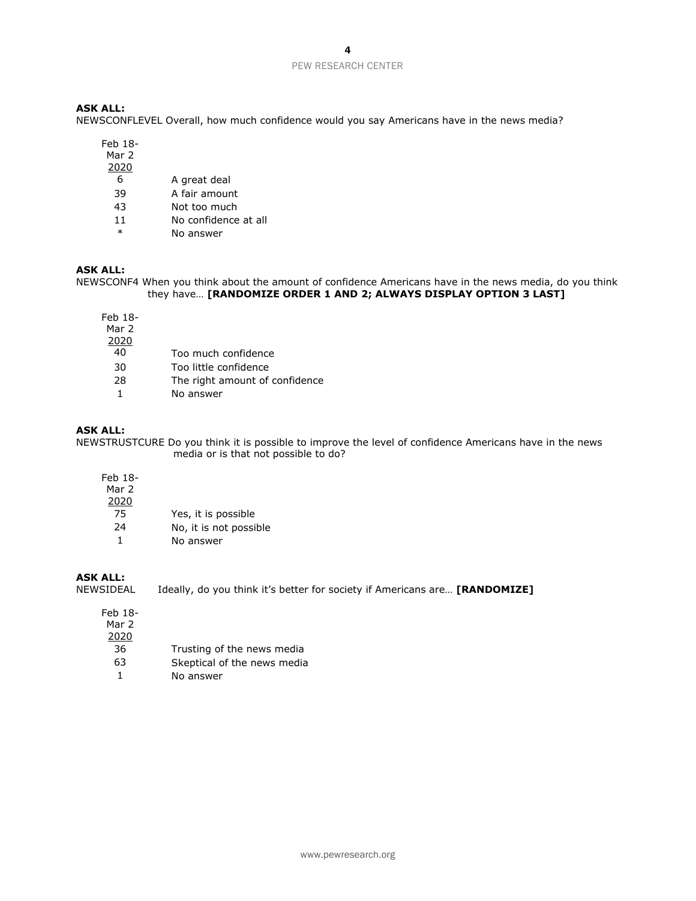## **ASK ALL:**

NEWSCONFLEVEL Overall, how much confidence would you say Americans have in the news media?

Feb 18-

- Mar 2
- 2020
	- 6 A great deal
- 39 A fair amount
- 43 Not too much
- 11 No confidence at all
- \* No answer

## **ASK ALL:**

NEWSCONF4 When you think about the amount of confidence Americans have in the news media, do you think they have… **[RANDOMIZE ORDER 1 AND 2; ALWAYS DISPLAY OPTION 3 LAST]**

Feb 18- Mar 2  $\frac{2020}{40}$ 30 Too little confidence

28 The right amount of confidence

40 Too much confidence

1 No answer

# **ASK ALL:**

NEWSTRUSTCURE Do you think it is possible to improve the level of confidence Americans have in the news media or is that not possible to do?

| Feb 18-<br>Mar 2 |                        |
|------------------|------------------------|
| 2020             |                        |
| 75               | Yes, it is possible    |
| 24               | No, it is not possible |
|                  | No answer              |

# **ASK ALL:**

Ideally, do you think it's better for society if Americans are... **[RANDOMIZE]** 

| Feb 18- |  |
|---------|--|
| Mar 2   |  |
| 2020    |  |
| 36      |  |
| 63      |  |
|         |  |

- Trusting of the news media
- Skeptical of the news media
- 1 No answer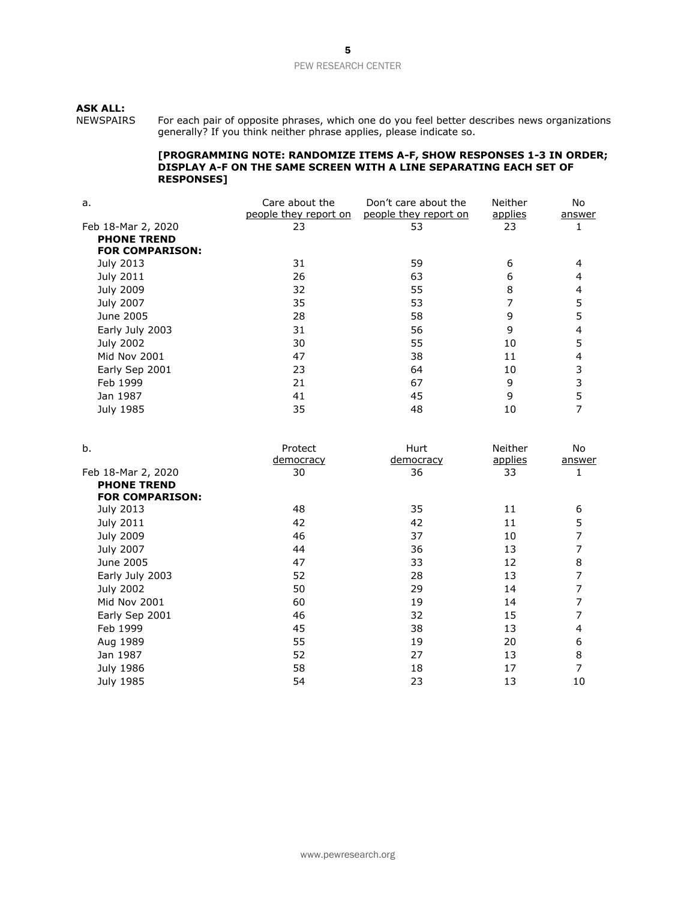# **ASK ALL:**

NEWSPAIRS For each pair of opposite phrases, which one do you feel better describes news organizations generally? If you think neither phrase applies, please indicate so.

#### **[PROGRAMMING NOTE: RANDOMIZE ITEMS A-F, SHOW RESPONSES 1-3 IN ORDER; DISPLAY A-F ON THE SAME SCREEN WITH A LINE SEPARATING EACH SET OF RESPONSES]**

| a.                     | Care about the<br>people they report on | Don't care about the<br>people they report on | Neither<br>applies | No<br><u>answer</u> |  |
|------------------------|-----------------------------------------|-----------------------------------------------|--------------------|---------------------|--|
| Feb 18-Mar 2, 2020     | 23                                      | 53                                            | 23                 |                     |  |
| <b>PHONE TREND</b>     |                                         |                                               |                    |                     |  |
| <b>FOR COMPARISON:</b> |                                         |                                               |                    |                     |  |
| July 2013              | 31                                      | 59                                            | 6                  |                     |  |
| July 2011              | 26                                      | 63                                            | 6                  | 4                   |  |
| <b>July 2009</b>       | 32                                      | 55                                            | 8                  | 4                   |  |
| July 2007              | 35                                      | 53                                            |                    | 5                   |  |
| June 2005              | 28                                      | 58                                            | 9                  |                     |  |
| Early July 2003        | 31                                      | 56                                            | 9                  | 4                   |  |
| July 2002              | 30                                      | 55                                            | 10                 | 5                   |  |
| <b>Mid Nov 2001</b>    | 47                                      | 38                                            | 11                 | 4                   |  |
| Early Sep 2001         | 23                                      | 64                                            | 10                 | 3                   |  |
| Feb 1999               | 21                                      | 67                                            | 9                  | 3                   |  |
| Jan 1987               | 41                                      | 45                                            | 9                  | 5                   |  |
| July 1985              | 35                                      | 48                                            | 10                 |                     |  |
|                        |                                         |                                               |                    |                     |  |

| b.                     | Protect   | Hurt             | Neither | No.    |
|------------------------|-----------|------------------|---------|--------|
|                        | democracy | <u>democracy</u> | applies | answer |
| Feb 18-Mar 2, 2020     | 30        | 36               | 33      |        |
| <b>PHONE TREND</b>     |           |                  |         |        |
| <b>FOR COMPARISON:</b> |           |                  |         |        |
| July 2013              | 48        | 35               | 11      | 6      |
| July 2011              | 42        | 42               | 11      | 5      |
| <b>July 2009</b>       | 46        | 37               | 10      | 7      |
| July 2007              | 44        | 36               | 13      | 7      |
| June 2005              | 47        | 33               | 12      | 8      |
| Early July 2003        | 52        | 28               | 13      | 7      |
| July 2002              | 50        | 29               | 14      | 7      |
| Mid Nov 2001           | 60        | 19               | 14      | 7      |
| Early Sep 2001         | 46        | 32               | 15      | 7      |
| Feb 1999               | 45        | 38               | 13      | 4      |
| Aug 1989               | 55        | 19               | 20      | 6      |
| Jan 1987               | 52        | 27               | 13      | 8      |
| July 1986              | 58        | 18               | 17      | 7      |
| July 1985              | 54        | 23               | 13      | 10     |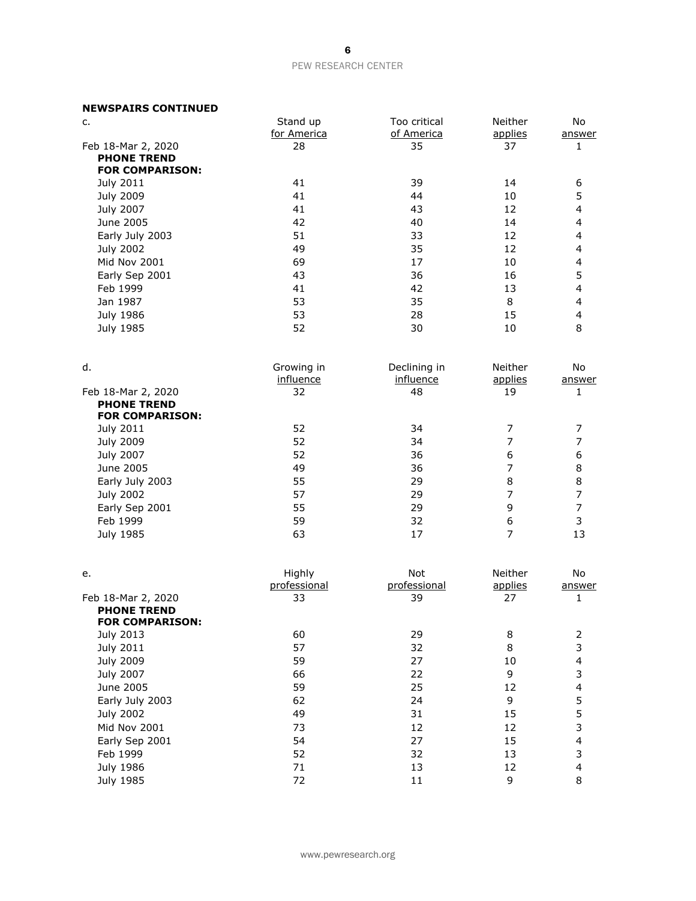# **NEWSPAIRS CONTINUED**

| c.                                           | Stand up     | Too critical | Neither        | No                      |
|----------------------------------------------|--------------|--------------|----------------|-------------------------|
|                                              | for America  | of America   | applies        | answer                  |
| Feb 18-Mar 2, 2020                           | 28           | 35           | 37             | 1                       |
| <b>PHONE TREND</b><br><b>FOR COMPARISON:</b> |              |              |                |                         |
| July 2011                                    | 41           | 39           | 14             | 6                       |
| <b>July 2009</b>                             | 41           | 44           | 10             | 5                       |
| July 2007                                    | 41           | 43           | 12             | 4                       |
| June 2005                                    | 42           | 40           | 14             | 4                       |
| Early July 2003                              | 51           | 33           | 12             | 4                       |
| July 2002                                    | 49           | 35           | 12             | 4                       |
| Mid Nov 2001                                 | 69           | 17           | 10             | $\overline{\mathbf{4}}$ |
| Early Sep 2001                               | 43           | 36           | 16             | 5                       |
| Feb 1999                                     | 41           | 42           | 13             | $\overline{\mathbf{4}}$ |
| Jan 1987                                     | 53           | 35           | 8              | 4                       |
|                                              | 53           | 28           | 15             | $\overline{\mathbf{4}}$ |
| <b>July 1986</b>                             | 52           | 30           | 10             | 8                       |
| July 1985                                    |              |              |                |                         |
| d.                                           | Growing in   | Declining in | Neither        | No                      |
|                                              | influence    | influence    | applies        | answer                  |
| Feb 18-Mar 2, 2020                           | 32           | 48           | 19             | 1                       |
| <b>PHONE TREND</b>                           |              |              |                |                         |
| <b>FOR COMPARISON:</b>                       |              |              |                |                         |
| July 2011                                    | 52           | 34           | 7              | 7                       |
| <b>July 2009</b>                             | 52           | 34           | 7              | $\overline{7}$          |
| July 2007                                    | 52           | 36           | 6              | 6                       |
| June 2005                                    | 49           | 36           | 7              | 8                       |
| Early July 2003                              | 55           | 29           | 8              | 8                       |
| <b>July 2002</b>                             | 57           | 29           | $\overline{7}$ | $\overline{7}$          |
| Early Sep 2001                               | 55           | 29           | 9              | $\boldsymbol{7}$        |
| Feb 1999                                     | 59           | 32           | 6              | 3                       |
| July 1985                                    | 63           | 17           | $\overline{7}$ | 13                      |
| е.                                           | Highly       | Not          | Neither        | No                      |
|                                              | professional | professional | applies        | answer                  |
| Feb 18-Mar 2, 2020<br><b>PHONE TREND</b>     | 33           | 39           | 27             | 1                       |
| <b>FOR COMPARISON:</b>                       |              |              |                |                         |
| July 2013                                    | 60           | 29           | 8              | $\overline{c}$          |
| <b>July 2011</b>                             | 57           | 32           | 8              | 3                       |
| <b>July 2009</b>                             | 59           | 27           | $10\,$         | $\overline{\mathbf{4}}$ |
| July 2007                                    | 66           | 22           | 9              | 3                       |
| June 2005                                    | 59           | 25           | 12             | $\overline{\mathbf{4}}$ |
| Early July 2003                              | 62           | 24           | 9              | 5                       |
| <b>July 2002</b>                             | 49           | 31           | 15             | 5                       |
| Mid Nov 2001                                 | 73           | 12           | 12             | 3                       |
| Early Sep 2001                               | 54           | 27           | 15             | 4                       |
| Feb 1999                                     | 52           | 32           | 13             | 3                       |
| July 1986                                    | $71\,$       | 13           | 12             | $\overline{\mathbf{4}}$ |
| July 1985                                    | 72           | $11\,$       | 9              | 8                       |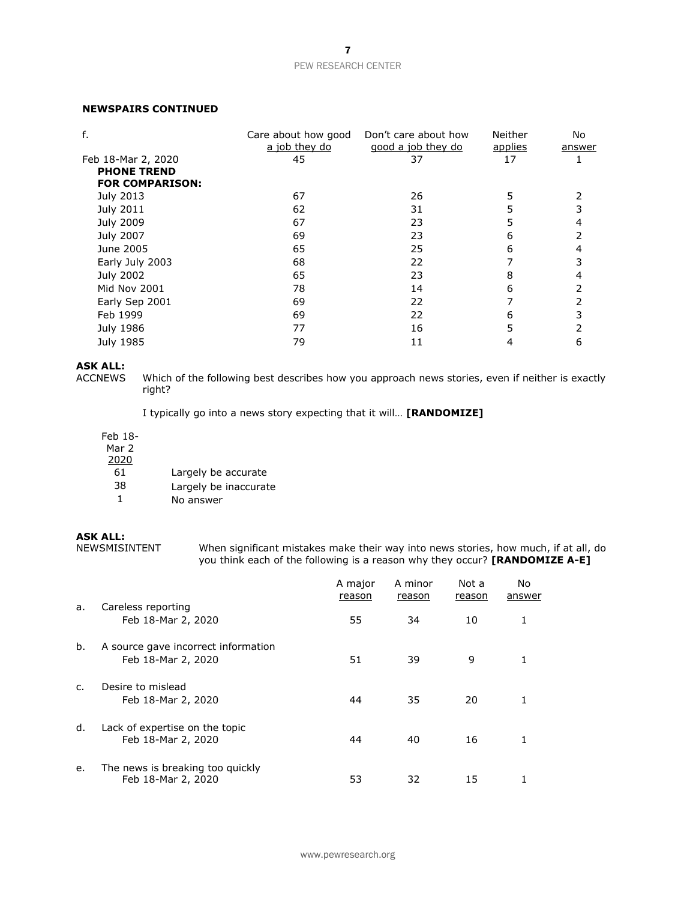# **NEWSPAIRS CONTINUED**

| f.                     | Care about how good<br>a job they do | Don't care about how<br>good a job they do | Neither<br><u>applies</u> | No<br>answer |
|------------------------|--------------------------------------|--------------------------------------------|---------------------------|--------------|
| Feb 18-Mar 2, 2020     | 45                                   | 37                                         | 17                        |              |
| <b>PHONE TREND</b>     |                                      |                                            |                           |              |
| <b>FOR COMPARISON:</b> |                                      |                                            |                           |              |
| July 2013              | 67                                   | 26                                         | 5                         |              |
| July 2011              | 62                                   | 31                                         |                           |              |
| <b>July 2009</b>       | 67                                   | 23                                         | 5                         |              |
| July 2007              | 69                                   | 23                                         | 6                         |              |
| June 2005              | 65                                   | 25                                         | 6                         |              |
| Early July 2003        | 68                                   | 22                                         |                           |              |
| July 2002              | 65                                   | 23                                         | 8                         |              |
| Mid Nov 2001           | 78                                   | 14                                         | 6                         |              |
| Early Sep 2001         | 69                                   | 22                                         |                           |              |
| Feb 1999               | 69                                   | 22                                         | 6                         |              |
| July 1986              | 77                                   | 16                                         |                           |              |
| July 1985              | 79                                   | 11                                         |                           | 6            |

# **ASK ALL:**

Which of the following best describes how you approach news stories, even if neither is exactly right?

I typically go into a news story expecting that it will… **[RANDOMIZE]**

## Feb 18-

Mar 2

- 2020
	- 61 Largely be accurate
	- 38 Largely be inaccurate
	- 1 No answer

# **ASK ALL:**<br>NEWSMISINTENT

When significant mistakes make their way into news stories, how much, if at all, do you think each of the following is a reason why they occur? **[RANDOMIZE A-E]**

|                |                                                           | A major<br>reason | A minor<br>reason | Not a<br>reason | No<br>answer |
|----------------|-----------------------------------------------------------|-------------------|-------------------|-----------------|--------------|
| a.             | Careless reporting<br>Feb 18-Mar 2, 2020                  | 55                | 34                | 10              | 1            |
| b.             | A source gave incorrect information<br>Feb 18-Mar 2, 2020 | 51                | 39                | 9               | 1            |
| $\mathsf{C}$ . | Desire to mislead<br>Feb 18-Mar 2, 2020                   | 44                | 35                | 20              | 1            |
| d.             | Lack of expertise on the topic<br>Feb 18-Mar 2, 2020      | 44                | 40                | 16              | 1            |
| e.             | The news is breaking too quickly<br>Feb 18-Mar 2, 2020    | 53                | 32                | 15              |              |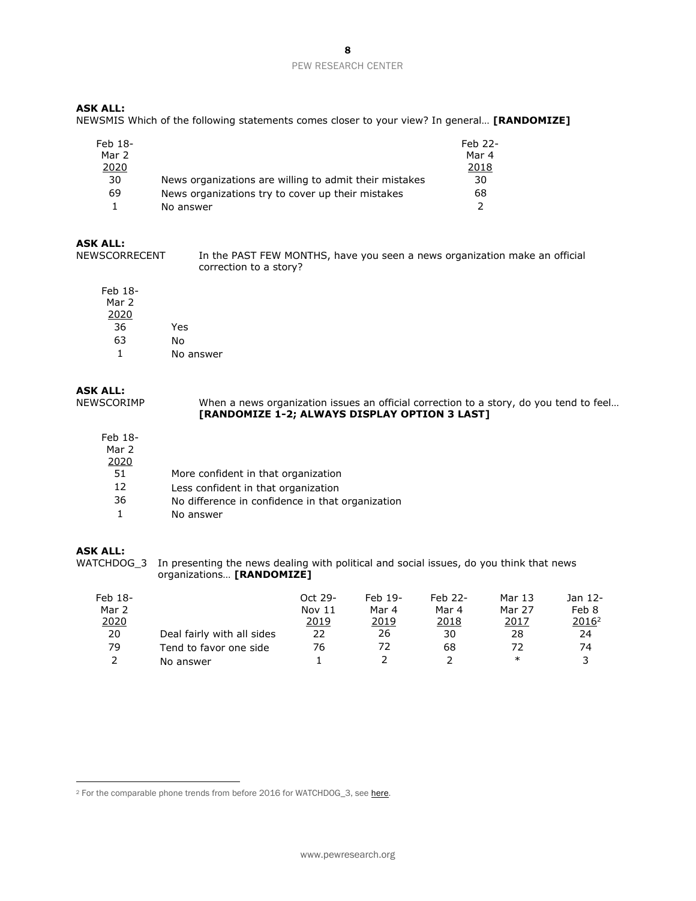# **ASK ALL:**

NEWSMIS Which of the following statements comes closer to your view? In general… **[RANDOMIZE]**

| Feb 18-<br>Mar 2 |                                                        | Feb 22-<br>Mar 4 |
|------------------|--------------------------------------------------------|------------------|
| 2020             |                                                        | 2018             |
| 30               | News organizations are willing to admit their mistakes | 30               |
| 69               | News organizations try to cover up their mistakes      | 68               |
|                  | No answer                                              |                  |

# **ASK ALL:**

NEWSCORRECENT In the PAST FEW MONTHS, have you seen a news organization make an official correction to a story?

Feb 18- Mar 2 2020 36 Yes 63 No 1 No answer

**ASK ALL:**<br>NEWSCORIMP When a news organization issues an official correction to a story, do you tend to feel... **[RANDOMIZE 1-2; ALWAYS DISPLAY OPTION 3 LAST]**

# Feb 18-

| Mar 2 |                                                  |
|-------|--------------------------------------------------|
| 2020  |                                                  |
| 51.   | More confident in that organization              |
| 12    | Less confident in that organization              |
| 36    | No difference in confidence in that organization |
|       | No answer                                        |

# **ASK ALL:**

WATCHDOG\_3 In presenting the news dealing with political and social issues, do you think that news organizations… **[RANDOMIZE]**

| Feb 18-<br>Mar 2 |                            | Oct 29-<br>Nov $11$ | $Feb$ 19-<br>Mar 4 | Feb 22-<br>Mar 4 | Mar 13<br>Mar 27 | Jan 12-<br>Feb 8  |
|------------------|----------------------------|---------------------|--------------------|------------------|------------------|-------------------|
| 2020             |                            | 2019                | 2019               | 2018             | 2017             | 2016 <sup>2</sup> |
| 20               | Deal fairly with all sides | 22                  | 26                 | 30               | 28               | 24                |
| 79               | Tend to favor one side     | 76                  | 72                 | 68               | 72               | 74                |
|                  | No answer                  |                     |                    |                  | ∗                |                   |

<sup>&</sup>lt;sup>2</sup> For the comparable phone trends from before 2016 for WATCHDOG 3, se[e here.](http://www.people-press.org/wp-content/uploads/sites/4/2013/08/8-8-2013-Media-Attitudes-Topline-for-Release-1.pdf)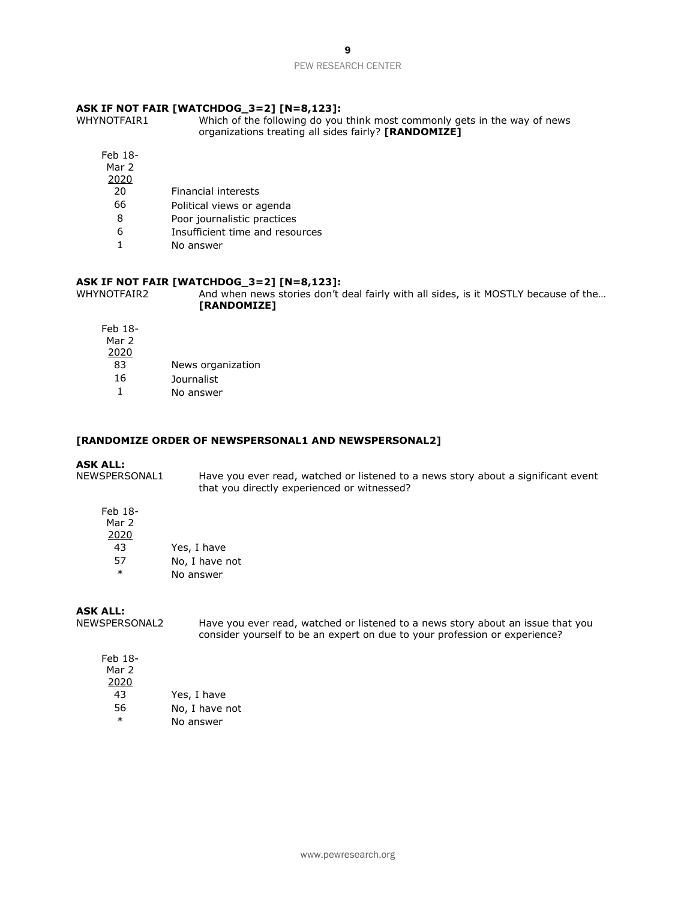# **ASK IF NOT FAIR [WATCHDOG\_3=2] [N=8,123]:**

Which of the following do you think most commonly gets in the way of news organizations treating all sides fairly? **[RANDOMIZE]**

- Feb 18- Mar 2
- 2020
	- 20 Financial interests
	- 66 Political views or agenda
	- 8 Poor journalistic practices
	- 6 Insufficient time and resources
	- 1 No answer

# **ASK IF NOT FAIR [WATCHDOG\_3=2] [N=8,123]:**

WHYNOTFAIR2 And when news stories don't deal fairly with all sides, is it MOSTLY because of the... **[RANDOMIZE]**

| Feb 18- |                   |
|---------|-------------------|
| Mar 2   |                   |
| 2020    |                   |
| 83      | News organization |
| 16      | Journalist        |
|         | No answer         |
|         |                   |

#### **[RANDOMIZE ORDER OF NEWSPERSONAL1 AND NEWSPERSONAL2]**

**ASK ALL:**<br>NEWSPERSONAL1 Have you ever read, watched or listened to a news story about a significant event that you directly experienced or witnessed?

Feb 18- Mar 2 2020 43 Yes, I have

| -57    | No, I have not |
|--------|----------------|
| $\ast$ | No answer      |

## **ASK ALL:**

NEWSPERSONAL2 Have you ever read, watched or listened to a news story about an issue that you consider yourself to be an expert on due to your profession or experience?

| Feb 18- |                |
|---------|----------------|
| Mar 2   |                |
| 2020    |                |
| 43      | Yes, I have    |
| 56      | No, I have not |
| $\ast$  | No answer      |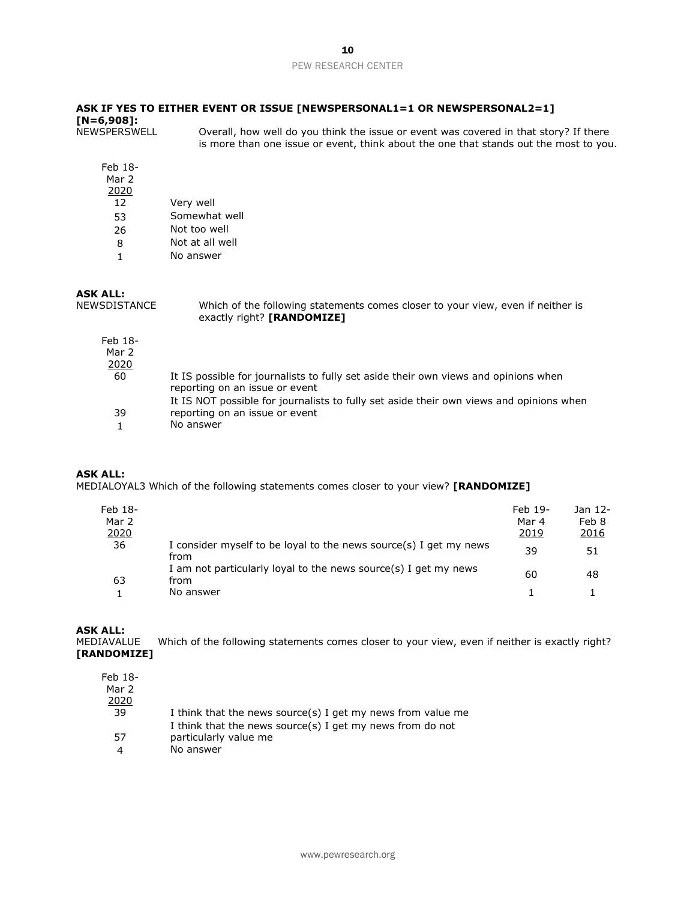### **ASK IF YES TO EITHER EVENT OR ISSUE [NEWSPERSONAL1=1 OR NEWSPERSONAL2=1] [N=6,908]:** Overall, how well do you think the issue or event was covered in that story? If there

is more than one issue or event, think about the one that stands out the most to you.

| Feb 18-<br>Mar 2<br>2020 |                 |
|--------------------------|-----------------|
| 12                       | Very well       |
| 53                       | Somewhat well   |
| 26                       | Not too well    |
| 8                        | Not at all well |
|                          | No answer       |

# **ASK ALL:**<br>NEWSDISTANCE

Which of the following statements comes closer to your view, even if neither is exactly right? **[RANDOMIZE]**

| Feb 18-<br>Mar 2<br>2020 |                                                                                                                       |
|--------------------------|-----------------------------------------------------------------------------------------------------------------------|
| 60                       | It IS possible for journalists to fully set aside their own views and opinions when<br>reporting on an issue or event |
|                          | It IS NOT possible for journalists to fully set aside their own views and opinions when                               |
| 39                       | reporting on an issue or event                                                                                        |
|                          | No answer                                                                                                             |

## **ASK ALL:**

MEDIALOYAL3 Which of the following statements comes closer to your view? **[RANDOMIZE]**

| Feb 18-<br>Mar 2<br>2020 |                                                                                      | Feb 19-<br>Mar 4<br>2019 | Jan 12-<br>Feb 8<br><u> 2016</u> |
|--------------------------|--------------------------------------------------------------------------------------|--------------------------|----------------------------------|
| 36                       | I consider myself to be loyal to the news source(s) I get my news<br>from            | 39                       | 51                               |
| 63                       | I am not particularly loyal to the news source(s) I get my news<br>from<br>No answer | 60                       | 48                               |

**ASK ALL:**

MEDIAVALUE Which of the following statements comes closer to your view, even if neither is exactly right? **[RANDOMIZE]**

| I think that the news source(s) I get my news from value me |
|-------------------------------------------------------------|
| I think that the news source(s) I get my news from do not   |
| particularly value me                                       |
| No answer                                                   |
|                                                             |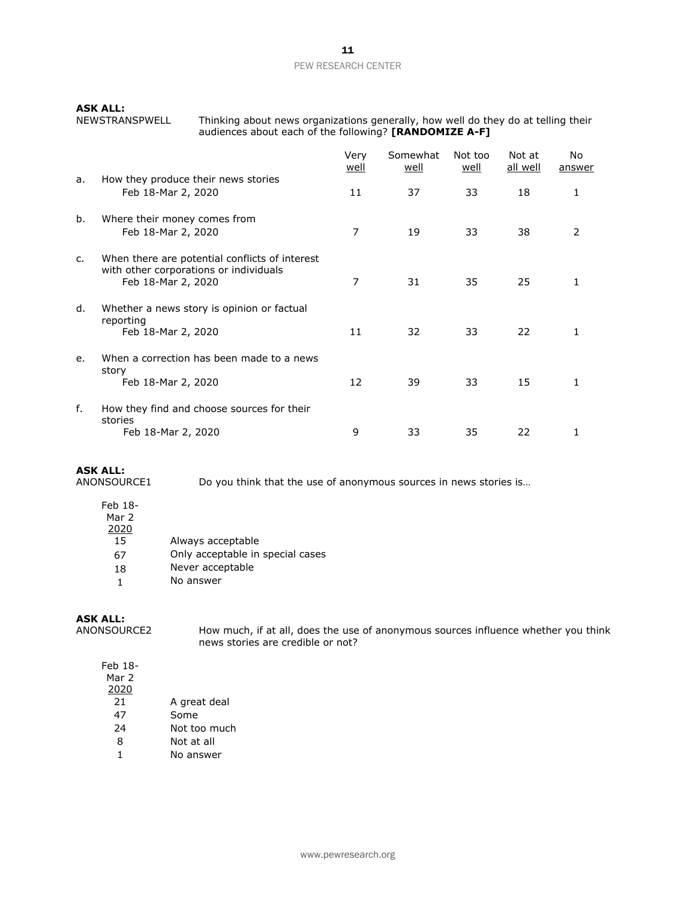**ASK ALL:** 

Thinking about news organizations generally, how well do they do at telling their audiences about each of the following? **[RANDOMIZE A-F]**

|    |                                                                                                                | Very<br><u>well</u> | Somewhat<br>well | Not too<br>well | Not at<br>all well | No<br>answer |
|----|----------------------------------------------------------------------------------------------------------------|---------------------|------------------|-----------------|--------------------|--------------|
| a. | How they produce their news stories<br>Feb 18-Mar 2, 2020                                                      | 11                  | 37               | 33              | 18                 | 1            |
| b. | Where their money comes from<br>Feb 18-Mar 2, 2020                                                             | 7                   | 19               | 33              | 38                 | 2            |
| c. | When there are potential conflicts of interest<br>with other corporations or individuals<br>Feb 18-Mar 2, 2020 | 7                   | 31               | 35              | 25                 | 1            |
| d. | Whether a news story is opinion or factual<br>reporting<br>Feb 18-Mar 2, 2020                                  | 11                  | 32               | 33              | 22                 | 1            |
| e. | When a correction has been made to a news<br>story<br>Feb 18-Mar 2, 2020                                       | 12                  | 39               | 33              | 15                 | 1            |
| f. | How they find and choose sources for their<br>stories<br>Feb 18-Mar 2, 2020                                    | 9                   | 33               | 35              | 22                 | 1            |

# **ASK ALL:**

Do you think that the use of anonymous sources in news stories is...

- Feb 18- Mar 2 2020 15 Always acceptable
	- 67 Only acceptable in special cases
	- 18 Never acceptable
	- 1 No answer

# **ASK ALL:**

ANONSOURCE2 How much, if at all, does the use of anonymous sources influence whether you think news stories are credible or not?

Feb 18- Mar 2 2020 21 A great deal 47 Some 24 Not too much 8 Not at all 1 No answer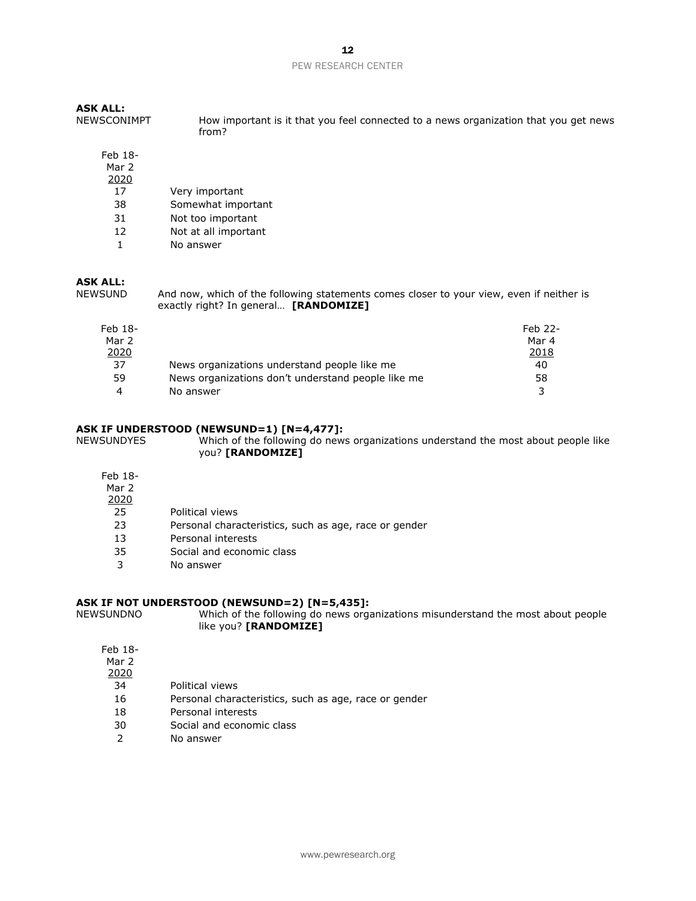| <b>ASK ALL:</b><br><b>NEWSCONIMPT</b> | How important is it that you feel connected to a news organization that you get news<br>from?                                                                                                                                  |
|---------------------------------------|--------------------------------------------------------------------------------------------------------------------------------------------------------------------------------------------------------------------------------|
| Feb 18-                               |                                                                                                                                                                                                                                |
| Mar 2                                 |                                                                                                                                                                                                                                |
| 2020                                  |                                                                                                                                                                                                                                |
| 17                                    | Very important                                                                                                                                                                                                                 |
| 38                                    | Somewhat important                                                                                                                                                                                                             |
| 31                                    | Not too important                                                                                                                                                                                                              |
| 12                                    | Not at all important                                                                                                                                                                                                           |
| 1                                     | No answer                                                                                                                                                                                                                      |
| <b>ASK ALL:</b><br>1.1711711117       | All the children is a strong to the control of the control of the control of the control of the control of the control of the control of the control of the control of the control of the control of the control of the contro |

NEWSUND And now, which of the following statements comes closer to your view, even if neither is exactly right? In general… **[RANDOMIZE]**

| Feb 18-<br>Mar 2 |                                                    | Feb 22-<br>Mar 4 |
|------------------|----------------------------------------------------|------------------|
| 2020             |                                                    | 2018             |
| 37               | News organizations understand people like me       | 40               |
| 59               | News organizations don't understand people like me | 58               |
| 4                | No answer                                          | ર                |

# **ASK IF UNDERSTOOD (NEWSUND=1) [N=4,477]:**

Which of the following do news organizations understand the most about people like you? **[RANDOMIZE]**

Feb 18-

#### Mar 2 2020

| 25 | Political views |  |
|----|-----------------|--|

- 23 Personal characteristics, such as age, race or gender
- 13 Personal interests
- 35 Social and economic class
- 3 No answer

# **ASK IF NOT UNDERSTOOD (NEWSUND=2) [N=5,435]:**

Which of the following do news organizations misunderstand the most about people like you? **[RANDOMIZE]**

| Feb 18-<br>Mar 2 |                 |
|------------------|-----------------|
| 2020             |                 |
| 34               | Political views |
| 16               | Personal chara  |

- 16 Personal characteristics, such as age, race or gender
- 18 Personal interests
- 30 Social and economic class
- 2 No answer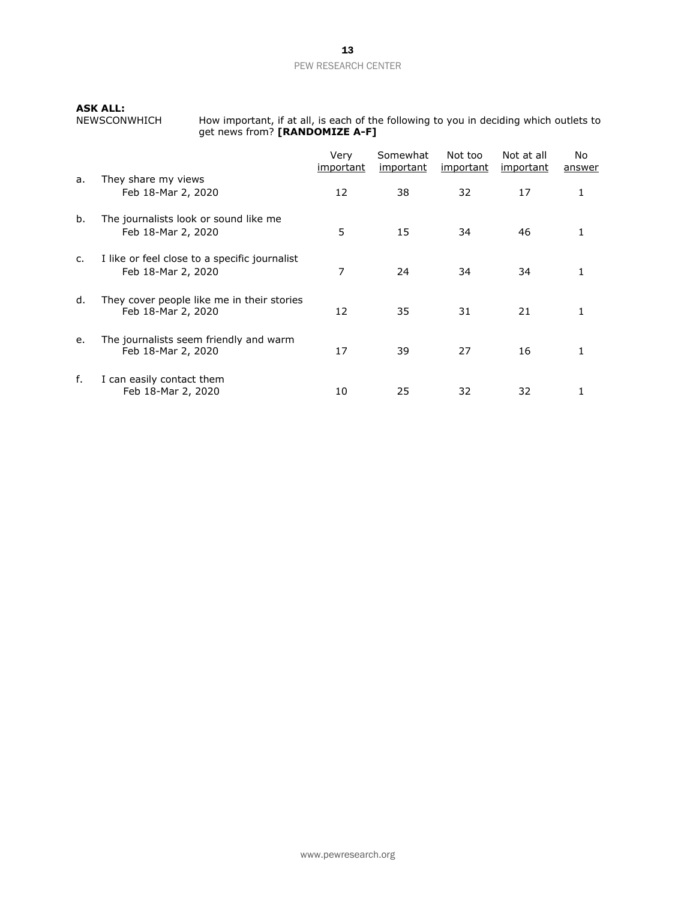**ASK ALL:**<br>NEWSCONWHICH

NEWSCONWHICH How important, if at all, is each of the following to you in deciding which outlets to get news from? **[RANDOMIZE A-F]**

|    |                                                                     | Very<br><u>important</u> | Somewhat<br><i>important</i> | Not too<br><i>important</i> | Not at all<br><i>important</i> | No.<br>answer |
|----|---------------------------------------------------------------------|--------------------------|------------------------------|-----------------------------|--------------------------------|---------------|
| a. | They share my views<br>Feb 18-Mar 2, 2020                           | 12                       | 38                           | 32                          | 17                             | 1             |
| b. | The journalists look or sound like me<br>Feb 18-Mar 2, 2020         | 5                        | 15                           | 34                          | 46                             |               |
| c. | I like or feel close to a specific journalist<br>Feb 18-Mar 2, 2020 | 7                        | 24                           | 34                          | 34                             |               |
| d. | They cover people like me in their stories<br>Feb 18-Mar 2, 2020    | 12                       | 35                           | 31                          | 21                             |               |
| e. | The journalists seem friendly and warm<br>Feb 18-Mar 2, 2020        | 17                       | 39                           | 27                          | 16                             |               |
| f. | I can easily contact them<br>Feb 18-Mar 2, 2020                     | 10                       | 25                           | 32                          | 32                             |               |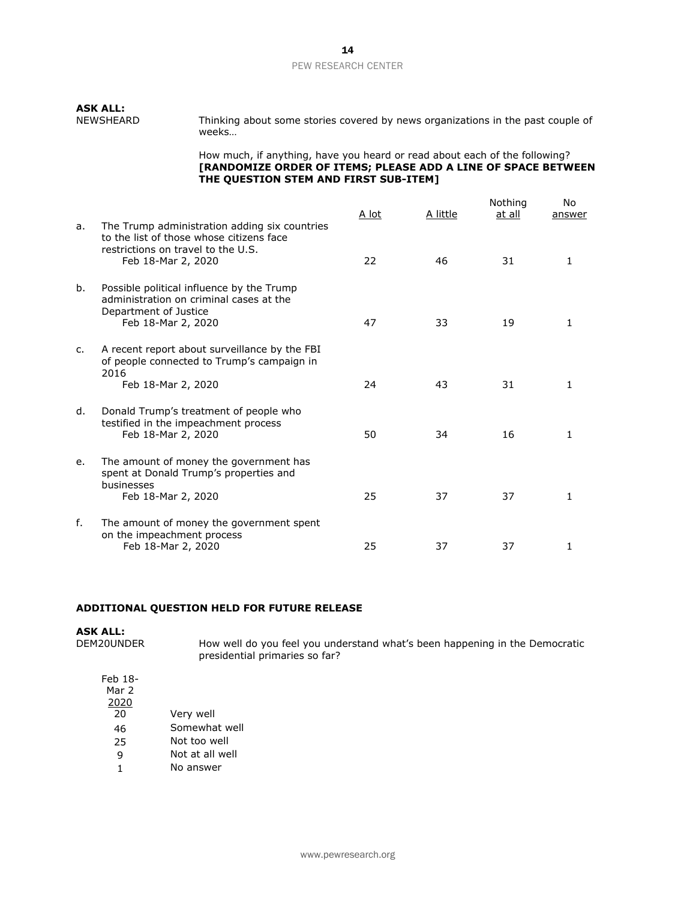# **ASK ALL:**

Thinking about some stories covered by news organizations in the past couple of weeks…

How much, if anything, have you heard or read about each of the following? **[RANDOMIZE ORDER OF ITEMS; PLEASE ADD A LINE OF SPACE BETWEEN THE QUESTION STEM AND FIRST SUB-ITEM]**

| a.             | The Trump administration adding six countries                                                                                       | A lot | A little | Nothing<br>at all | No<br>answer |
|----------------|-------------------------------------------------------------------------------------------------------------------------------------|-------|----------|-------------------|--------------|
|                | to the list of those whose citizens face<br>restrictions on travel to the U.S.<br>Feb 18-Mar 2, 2020                                | 22    | 46       | 31                | $\mathbf{1}$ |
| b.             | Possible political influence by the Trump<br>administration on criminal cases at the<br>Department of Justice<br>Feb 18-Mar 2, 2020 | 47    | 33       | 19                | 1            |
| $\mathsf{C}$ . | A recent report about surveillance by the FBI<br>of people connected to Trump's campaign in<br>2016<br>Feb 18-Mar 2, 2020           | 24    | 43       | 31                | 1            |
| d.             | Donald Trump's treatment of people who<br>testified in the impeachment process<br>Feb 18-Mar 2, 2020                                | 50    | 34       | 16                | $\mathbf{1}$ |
| e.             | The amount of money the government has<br>spent at Donald Trump's properties and<br>businesses<br>Feb 18-Mar 2, 2020                | 25    | 37       | 37                | $\mathbf{1}$ |
| f.             | The amount of money the government spent<br>on the impeachment process<br>Feb 18-Mar 2, 2020                                        | 25    | 37       | 37                | 1            |

# **ADDITIONAL QUESTION HELD FOR FUTURE RELEASE**

| <b>ASK ALL:</b> |                                                                                                               |
|-----------------|---------------------------------------------------------------------------------------------------------------|
| DEM20UNDER      | How well do you feel you understand what's been happening in the Democratic<br>presidential primaries so far? |
| Feb 18-         |                                                                                                               |
| Mar 2           |                                                                                                               |
| 2020            |                                                                                                               |
| 20              | Very well                                                                                                     |
| 46              | Somewhat well                                                                                                 |
| n r             | $N \sim$ $\pm$ $\sim$ $\sim$ $\sim$                                                                           |

- 25 Not too well
- 9 Not at all well
- 1 No answer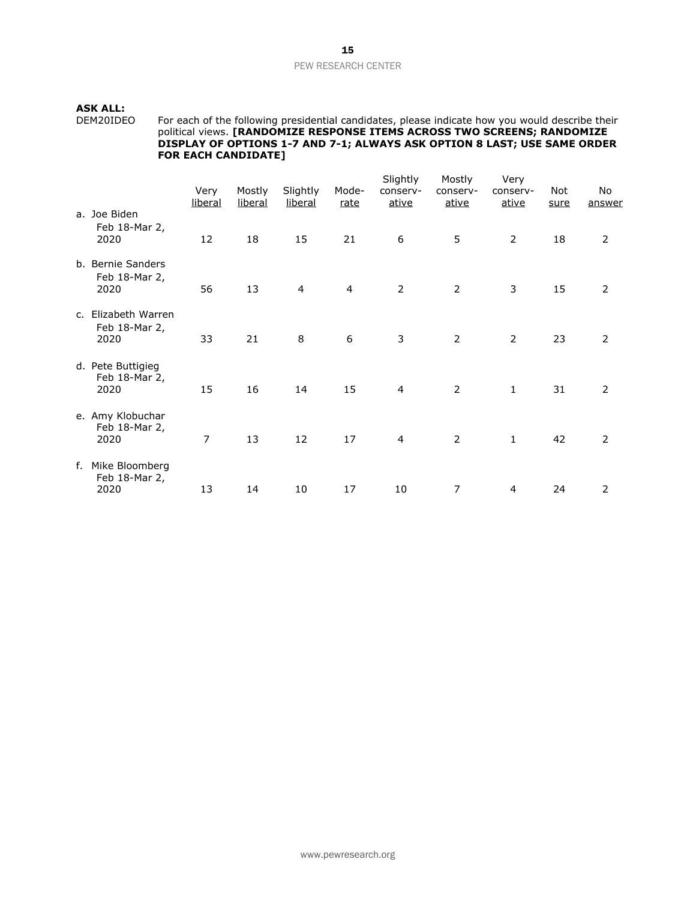**ASK ALL:**

DEM20IDEO For each of the following presidential candidates, please indicate how you would describe their political views. **[RANDOMIZE RESPONSE ITEMS ACROSS TWO SCREENS; RANDOMIZE DISPLAY OF OPTIONS 1-7 AND 7-1; ALWAYS ASK OPTION 8 LAST; USE SAME ORDER FOR EACH CANDIDATE]**

|                                              | Very<br><u>liberal</u> | Mostly<br><u>liberal</u> | Slightly<br><u>liberal</u> | Mode-<br><u>rate</u> | Slightly<br>conserv-<br>ative | Mostly<br>conserv-<br>ative | Very<br>conserv-<br><u>ative</u> | Not<br>sure | No<br>answer   |
|----------------------------------------------|------------------------|--------------------------|----------------------------|----------------------|-------------------------------|-----------------------------|----------------------------------|-------------|----------------|
| a. Joe Biden<br>Feb 18-Mar 2,<br>2020        | 12                     | 18                       | 15                         | 21                   | 6                             | 5                           | $\overline{2}$                   | 18          | $\overline{2}$ |
| b. Bernie Sanders<br>Feb 18-Mar 2,<br>2020   | 56                     | 13                       | 4                          | $\overline{4}$       | 2                             | $\overline{2}$              | 3                                | 15          | $\overline{2}$ |
| c. Elizabeth Warren<br>Feb 18-Mar 2,<br>2020 | 33                     | 21                       | 8                          | 6                    | 3                             | $\overline{2}$              | $\overline{2}$                   | 23          | $\overline{2}$ |
| d. Pete Buttigieg<br>Feb 18-Mar 2,<br>2020   | 15                     | 16                       | 14                         | 15                   | 4                             | $\overline{2}$              | $\mathbf{1}$                     | 31          | $\overline{2}$ |
| e. Amy Klobuchar<br>Feb 18-Mar 2,<br>2020    | $\overline{7}$         | 13                       | 12                         | 17                   | $\overline{4}$                | $\overline{2}$              | $\mathbf{1}$                     | 42          | $\overline{2}$ |
| f. Mike Bloomberg<br>Feb 18-Mar 2,<br>2020   | 13                     | 14                       | 10                         | 17                   | 10                            | 7                           | 4                                | 24          | 2              |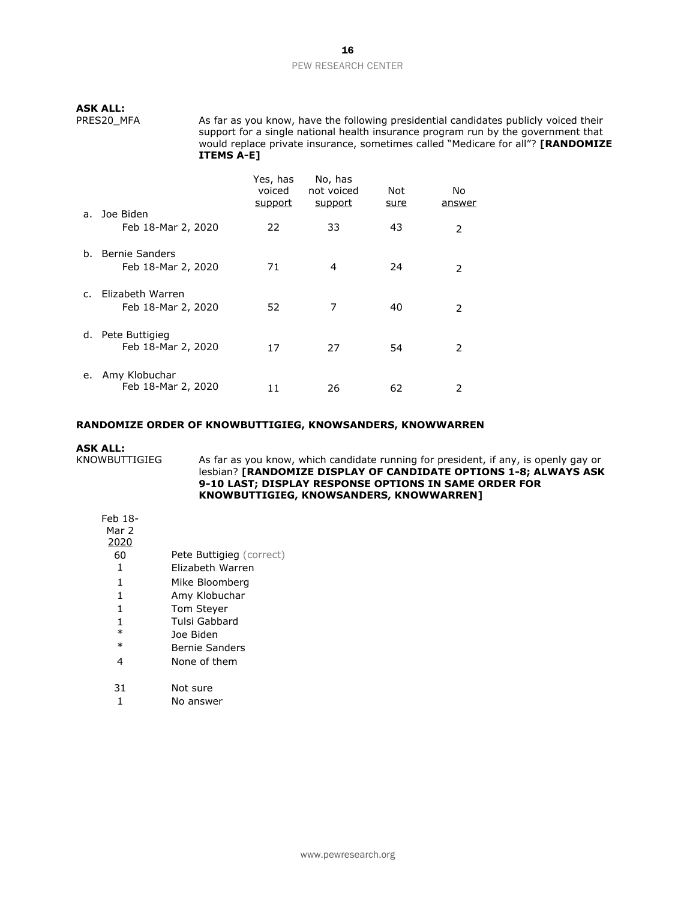# **ASK ALL:**

PRES20 MFA As far as you know, have the following presidential candidates publicly voiced their support for a single national health insurance program run by the government that would replace private insurance, sometimes called "Medicare for all"? **[RANDOMIZE ITEMS A-E]**

|                |                                         | Yes, has<br>voiced<br>support | No, has<br>not voiced<br>support | Not<br><u>sure</u> | No<br>answer  |
|----------------|-----------------------------------------|-------------------------------|----------------------------------|--------------------|---------------|
| a.             | Joe Biden<br>Feb 18-Mar 2, 2020         | 22                            | 33                               | 43                 | 2             |
| b.             | Bernie Sanders<br>Feb 18-Mar 2, 2020    | 71                            | 4                                | 24                 | 2             |
| $\mathsf{C}$ . | Elizabeth Warren<br>Feb 18-Mar 2, 2020  | 52                            | 7                                | 40                 | $\mathcal{P}$ |
|                | d. Pete Buttigieg<br>Feb 18-Mar 2, 2020 | 17                            | 27                               | 54                 | 2             |
| е.             | Amy Klobuchar<br>Feb 18-Mar 2, 2020     | 11                            | 26                               | 62                 | 2             |

#### **RANDOMIZE ORDER OF KNOWBUTTIGIEG, KNOWSANDERS, KNOWWARREN**

# **ASK ALL:**<br>KNOWBUTTIGIEG

As far as you know, which candidate running for president, if any, is openly gay or lesbian? **[RANDOMIZE DISPLAY OF CANDIDATE OPTIONS 1-8; ALWAYS ASK 9-10 LAST; DISPLAY RESPONSE OPTIONS IN SAME ORDER FOR KNOWBUTTIGIEG, KNOWSANDERS, KNOWWARREN]**

| Feb 18-<br>Mar 2<br>2020 |                          |
|--------------------------|--------------------------|
| 60                       | Pete Buttigieg (correct) |
| 1                        | Flizabeth Warren         |
| 1                        | Mike Bloomberg           |
| 1                        | Amy Klobuchar            |
| 1                        | <b>Tom Stever</b>        |
| 1                        | Tulsi Gabbard            |
| $\ast$                   | Joe Biden                |
| $\ast$                   | <b>Bernie Sanders</b>    |
| 4                        | None of them             |
| 31                       | Not sure                 |

# 1 No answer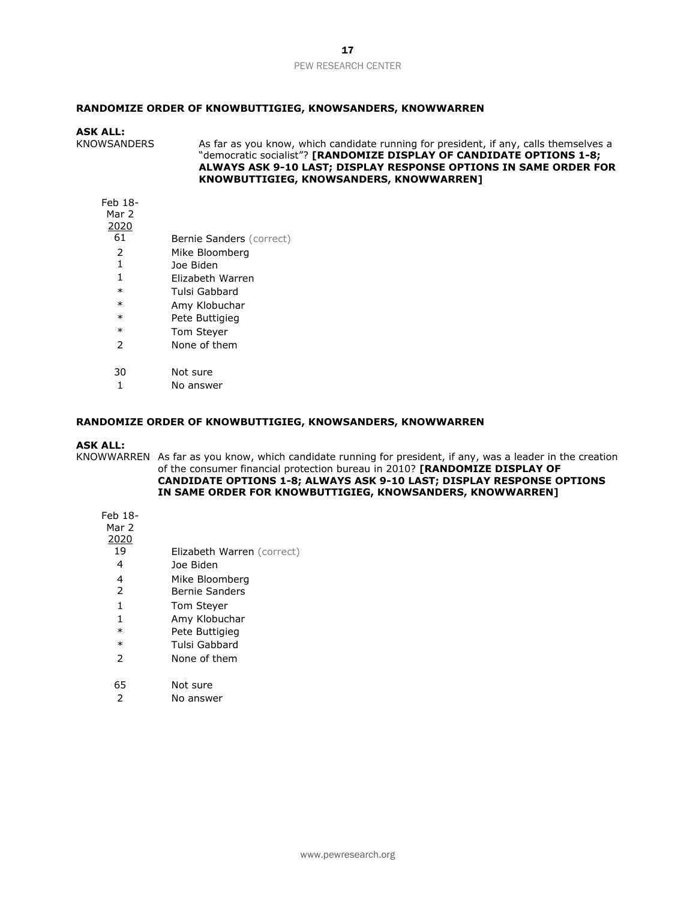## **RANDOMIZE ORDER OF KNOWBUTTIGIEG, KNOWSANDERS, KNOWWARREN**

### **ASK ALL:**

KNOWSANDERS As far as you know, which candidate running for president, if any, calls themselves a "democratic socialist"? **[RANDOMIZE DISPLAY OF CANDIDATE OPTIONS 1-8; ALWAYS ASK 9-10 LAST; DISPLAY RESPONSE OPTIONS IN SAME ORDER FOR KNOWBUTTIGIEG, KNOWSANDERS, KNOWWARREN]** 

# Feb 18-

Mar 2

- $\frac{2020}{61}$ Bernie Sanders (correct) 2 Mike Bloomberg 1 Joe Biden 1 Elizabeth Warren \* Tulsi Gabbard \* Amy Klobuchar \* Pete Buttigieg \* Tom Steyer 2 None of them 30 Not sure
	- 1 No answer

# **RANDOMIZE ORDER OF KNOWBUTTIGIEG, KNOWSANDERS, KNOWWARREN**

## **ASK ALL:**

KNOWWARREN As far as you know, which candidate running for president, if any, was a leader in the creation of the consumer financial protection bureau in 2010? **[RANDOMIZE DISPLAY OF CANDIDATE OPTIONS 1-8; ALWAYS ASK 9-10 LAST; DISPLAY RESPONSE OPTIONS IN SAME ORDER FOR KNOWBUTTIGIEG, KNOWSANDERS, KNOWWARREN]**

- Feb 18- Mar 2  $\frac{2020}{19}$ 4 Joe Biden 4 Mike Bloomberg
	- 2 Bernie Sanders

Elizabeth Warren (correct)

- 1 Tom Steyer
- 1 Amy Klobuchar
- \* Pete Buttigieg
- \* Tulsi Gabbard
- 2 None of them
- 65 Not sure
- 2 No answer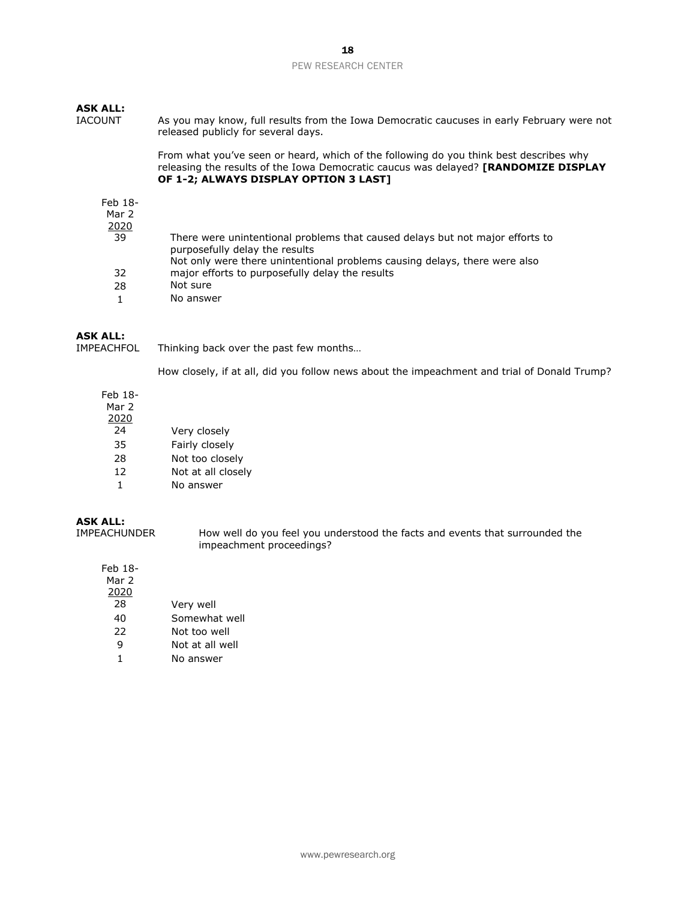## **ASK ALL:**

IACOUNT As you may know, full results from the Iowa Democratic caucuses in early February were not released publicly for several days.

> From what you've seen or heard, which of the following do you think best describes why releasing the results of the Iowa Democratic caucus was delayed? **[RANDOMIZE DISPLAY OF 1-2; ALWAYS DISPLAY OPTION 3 LAST]**

#### Feb 18-

# Mar 2

 $\frac{2020}{39}$ There were unintentional problems that caused delays but not major efforts to purposefully delay the results 32 Not only were there unintentional problems causing delays, there were also major efforts to purposefully delay the results 28 Not sure 1 No answer

## **ASK ALL:**

IMPEACHFOL Thinking back over the past few months…

How closely, if at all, did you follow news about the impeachment and trial of Donald Trump?

# Feb 18-

Mar 2

- 2020
- 24 Very closely 35 Fairly closely
- 28 Not too closely
- 12 Not at all closely
- 1 No answer

# **ASK ALL:**

How well do you feel you understood the facts and events that surrounded the impeachment proceedings?

## Feb 18- Mar 2 2020 28 Very well 40 Somewhat well

- 22 Not too well
- 9 Not at all well
- 1 No answer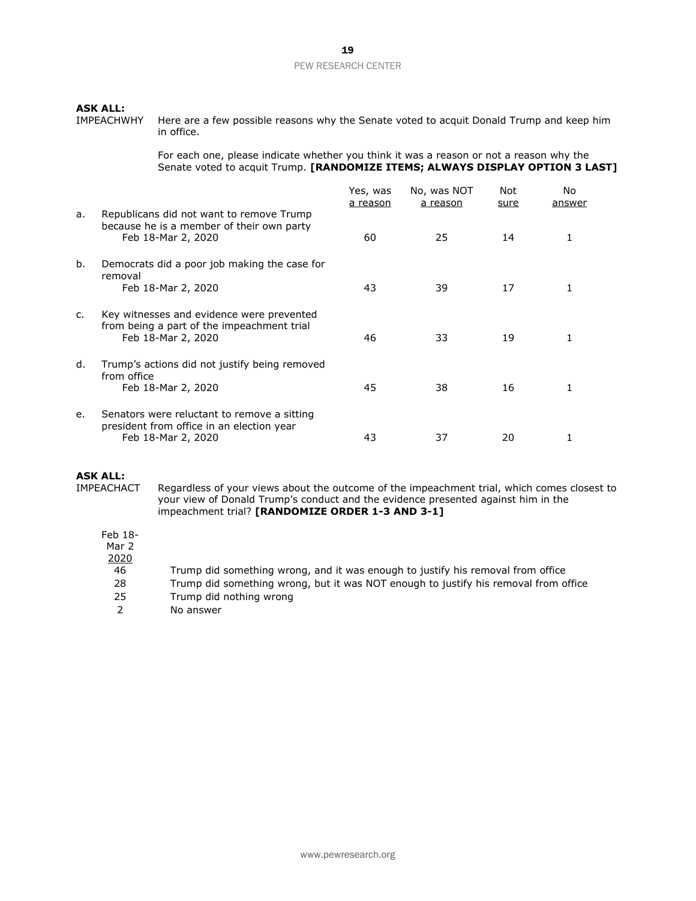**ASK ALL:**<br>IMPEACHWHY Here are a few possible reasons why the Senate voted to acquit Donald Trump and keep him in office.

> For each one, please indicate whether you think it was a reason or not a reason why the Senate voted to acquit Trump. **[RANDOMIZE ITEMS; ALWAYS DISPLAY OPTION 3 LAST]**

|                |                                                                                                                | Yes, was<br>a reason | No, was NOT<br>a reason | Not<br><u>sure</u> | No<br>answer |
|----------------|----------------------------------------------------------------------------------------------------------------|----------------------|-------------------------|--------------------|--------------|
| a.             | Republicans did not want to remove Trump<br>because he is a member of their own party<br>Feb 18-Mar 2, 2020    | 60                   | 25                      | 14                 |              |
| b.             | Democrats did a poor job making the case for<br>removal                                                        |                      |                         |                    |              |
|                | Feb 18-Mar 2, 2020                                                                                             | 43                   | 39                      | 17                 |              |
| $\mathsf{C}$ . | Key witnesses and evidence were prevented<br>from being a part of the impeachment trial<br>Feb 18-Mar 2, 2020  | 46                   | 33                      | 19                 |              |
| d.             | Trump's actions did not justify being removed<br>from office<br>Feb 18-Mar 2, 2020                             | 45                   | 38                      | 16                 |              |
| е.             | Senators were reluctant to remove a sitting<br>president from office in an election year<br>Feb 18-Mar 2, 2020 | 43                   | 37                      | 20                 |              |

**ASK ALL:**<br>IMPEACHACT Regardless of your views about the outcome of the impeachment trial, which comes closest to your view of Donald Trump's conduct and the evidence presented against him in the impeachment trial? **[RANDOMIZE ORDER 1-3 AND 3-1]**

Feb 18-

Mar 2

2020

- 46 Trump did something wrong, and it was enough to justify his removal from office
- 28 Trump did something wrong, but it was NOT enough to justify his removal from office
- 25 Trump did nothing wrong
- 2 No answer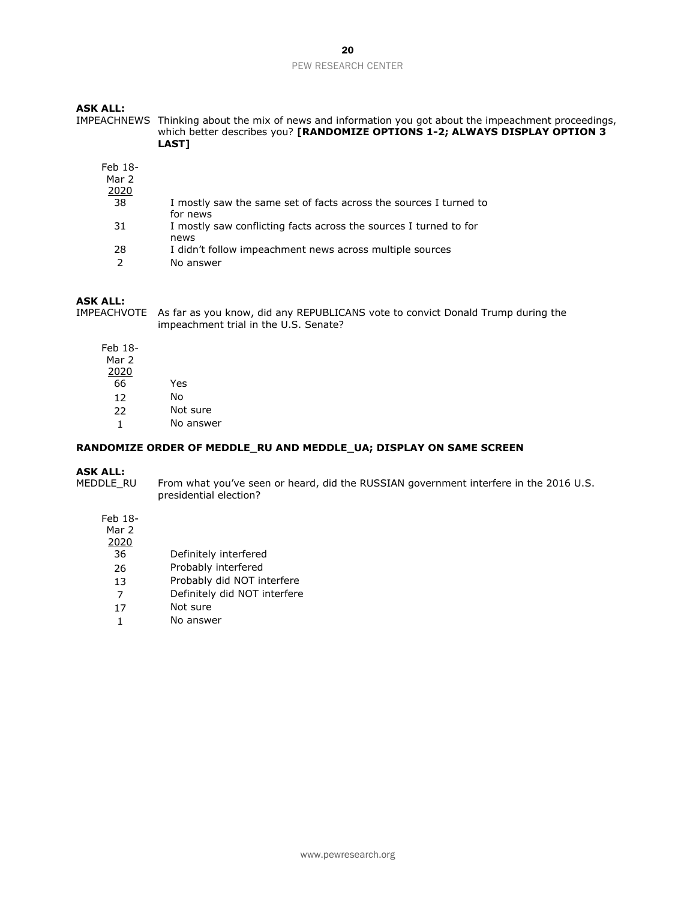# **ASK ALL:**

IMPEACHNEWS Thinking about the mix of news and information you got about the impeachment proceedings, which better describes you? **[RANDOMIZE OPTIONS 1-2; ALWAYS DISPLAY OPTION 3 LAST]**

| Feb 18-<br>Mar 2<br>2020 |                                                                               |  |
|--------------------------|-------------------------------------------------------------------------------|--|
| 38                       | I mostly saw the same set of facts across the sources I turned to             |  |
| 31                       | for news<br>I mostly saw conflicting facts across the sources I turned to for |  |
|                          | news                                                                          |  |
| 28                       | I didn't follow impeachment news across multiple sources                      |  |
| っ                        | No answer                                                                     |  |

## **ASK ALL:**

IMPEACHVOTE As far as you know, did any REPUBLICANS vote to convict Donald Trump during the impeachment trial in the U.S. Senate?

Feb 18-

Mar 2

- 2020
- $\overline{66}$  Yes
- 12 No
- 22 Not sure
- 1 No answer

### **RANDOMIZE ORDER OF MEDDLE\_RU AND MEDDLE\_UA; DISPLAY ON SAME SCREEN**

#### **ASK ALL:**

MEDDLE\_RU From what you've seen or heard, did the RUSSIAN government interfere in the 2016 U.S. presidential election?

- Feb 18-
- Mar 2
- $\frac{2020}{36}$ 
	- Definitely interfered
- 26 Probably interfered<br>13 Probably did NOT in
- Probably did NOT interfere
- 7 Definitely did NOT interfere
- 17 Not sure
- 1 No answer